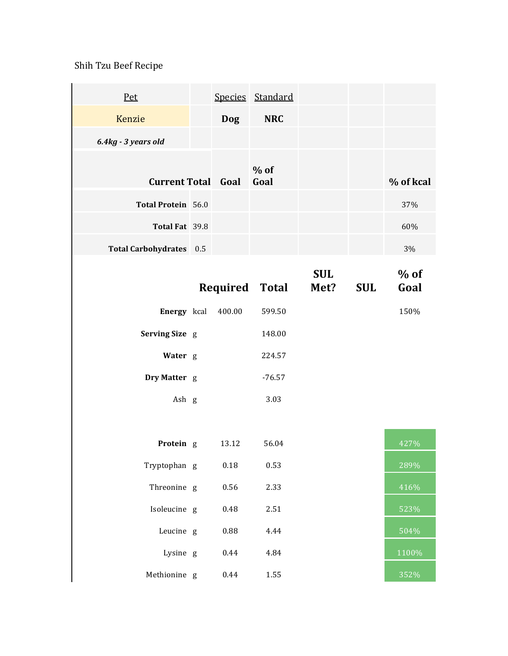## Shih Tzu Beef Recipe

Ÿ.

| Pet                       |            | Species Standard      |                    |            |                |
|---------------------------|------------|-----------------------|--------------------|------------|----------------|
| Kenzie                    | <b>Dog</b> | <b>NRC</b>            |                    |            |                |
| 6.4kg - 3 years old       |            |                       |                    |            |                |
| <b>Current Total Goal</b> |            | $%$ of<br>Goal        |                    |            | % of kcal      |
| Total Protein 56.0        |            |                       |                    |            | 37%            |
| Total Fat 39.8            |            |                       |                    |            | 60%            |
| Total Carbohydrates 0.5   |            |                       |                    |            | 3%             |
|                           |            | <b>Required Total</b> | <b>SUL</b><br>Met? | <b>SUL</b> | $%$ of<br>Goal |
| Energy kcal               | 400.00     | 599.50                |                    |            | 150%           |
| Serving Size g            |            | 148.00                |                    |            |                |
| Water g                   |            | 224.57                |                    |            |                |
| Dry Matter g              |            | $-76.57$              |                    |            |                |
| Ash g                     |            | 3.03                  |                    |            |                |
|                           |            |                       |                    |            |                |
| Protein g                 | 13.12      | 56.04                 |                    |            | 427%           |
| Tryptophan g              | $0.18\,$   | 0.53                  |                    |            | 289%           |
| Threonine g               | 0.56       | 2.33                  |                    |            | 416%           |
| Isoleucine g              | 0.48       | 2.51                  |                    |            | 523%           |
| Leucine g                 | 0.88       | 4.44                  |                    |            | 504%           |
| Lysine g                  | 0.44       | 4.84                  |                    |            | 1100%          |
| Methionine g              | 0.44       | 1.55                  |                    |            | 352%           |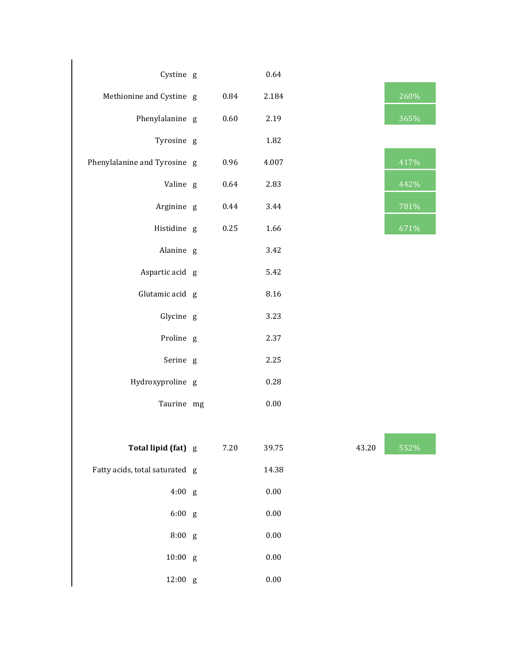| Cystine g                      |      | 0.64     |       |      |
|--------------------------------|------|----------|-------|------|
| Methionine and Cystine g       | 0.84 | 2.184    |       | 260% |
| Phenylalanine g                | 0.60 | 2.19     |       | 365% |
| Tyrosine g                     |      | 1.82     |       |      |
| Phenylalanine and Tyrosine g   | 0.96 | 4.007    |       | 417% |
| Valine g                       | 0.64 | 2.83     |       | 442% |
| Arginine g                     | 0.44 | 3.44     |       | 781% |
| Histidine g                    | 0.25 | 1.66     |       | 671% |
| Alanine g                      |      | 3.42     |       |      |
| Aspartic acid g                |      | 5.42     |       |      |
| Glutamic acid g                |      | 8.16     |       |      |
| Glycine g                      |      | 3.23     |       |      |
| Proline g                      |      | 2.37     |       |      |
| Serine g                       |      | 2.25     |       |      |
| Hydroxyproline g               |      | 0.28     |       |      |
| Taurine mg                     |      | $0.00\,$ |       |      |
|                                |      |          |       |      |
| Total lipid (fat) g            | 7.20 | 39.75    | 43.20 | 552% |
| Fatty acids, total saturated g |      | 14.38    |       |      |
| $4:00$ g                       |      | $0.00\,$ |       |      |
| 6:00 g                         |      | $0.00\,$ |       |      |
| 8:00 g                         |      | $0.00\,$ |       |      |
| $10:00$ g                      |      | $0.00\,$ |       |      |
| 12:00 g                        |      | $0.00\,$ |       |      |

| 260%               |
|--------------------|
| 365%               |
|                    |
| 417%               |
| 442%               |
| 781%               |
| $67\overline{1\%}$ |

| 43.20 | 552% |
|-------|------|
|       |      |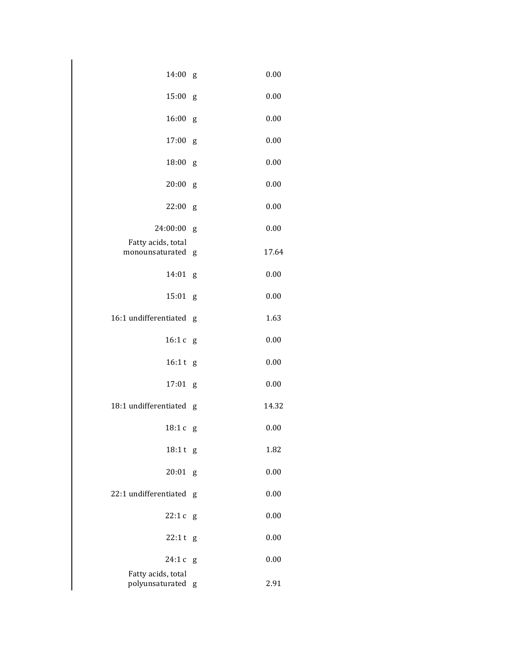| 14:00                                 | g | 0.00  |
|---------------------------------------|---|-------|
| 15:00                                 | g | 0.00  |
| 16:00                                 | g | 0.00  |
| 17:00                                 | g | 0.00  |
| 18:00                                 | g | 0.00  |
| 20:00                                 | g | 0.00  |
| 22:00                                 | g | 0.00  |
| 24:00:00                              | g | 0.00  |
| Fatty acids, total<br>monounsaturated | g | 17.64 |
| 14:01                                 | g | 0.00  |
| 15:01                                 | g | 0.00  |
| 16:1 undifferentiated                 | g | 1.63  |
| 16:1c                                 | g | 0.00  |
| 16:1 t                                | g | 0.00  |
| 17:01                                 | g | 0.00  |
| 18:1 undifferentiated                 | g | 14.32 |
| 18:1c                                 | g | 0.00  |
| 18:1 t g                              |   | 1.82  |
| 20:01                                 | g | 0.00  |
| 22:1 undifferentiated                 | g | 0.00  |
| 22:1c                                 | g | 0.00  |
| 22:1t                                 | g | 0.00  |
| 24:1c                                 | g | 0.00  |
| Fatty acids, total<br>polyunsaturated | g | 2.91  |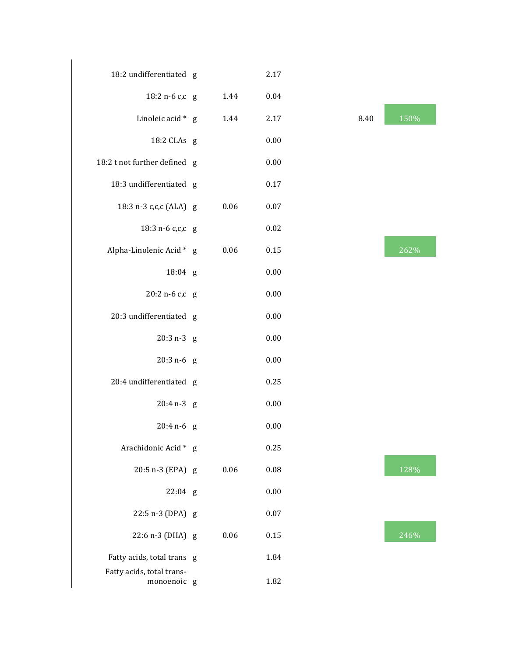| 18:2 undifferentiated g                  |      | 2.17     |      |      |
|------------------------------------------|------|----------|------|------|
| 18:2 n-6 c,c g                           | 1.44 | 0.04     |      |      |
| Linoleic acid * g                        | 1.44 | 2.17     | 8.40 | 150% |
| 18:2 CLAs g                              |      | 0.00     |      |      |
| 18:2 t not further defined g             |      | 0.00     |      |      |
| 18:3 undifferentiated g                  |      | $0.17\,$ |      |      |
| 18:3 n-3 c,c,c (ALA) g                   | 0.06 | 0.07     |      |      |
| 18:3 n-6 c,c,c g                         |      | 0.02     |      |      |
| Alpha-Linolenic Acid * g                 | 0.06 | 0.15     |      | 262% |
| 18:04 g                                  |      | 0.00     |      |      |
| 20:2 n-6 c,c g                           |      | 0.00     |      |      |
| 20:3 undifferentiated g                  |      | 0.00     |      |      |
| $20:3 n-3 g$                             |      | 0.00     |      |      |
| $20:3 n-6 g$                             |      | 0.00     |      |      |
| 20:4 undifferentiated g                  |      | 0.25     |      |      |
| $20:4 n-3 g$                             |      | 0.00     |      |      |
| $20:4 n-6 g$                             |      | 0.00     |      |      |
| Arachidonic Acid * g                     |      | 0.25     |      |      |
| 20:5 n-3 (EPA) g                         | 0.06 | 0.08     |      | 128% |
| $22:04$ g                                |      | 0.00     |      |      |
| 22:5 n-3 (DPA) g                         |      | 0.07     |      |      |
| 22:6 n-3 (DHA) g                         | 0.06 | 0.15     |      | 246% |
| Fatty acids, total trans g               |      | 1.84     |      |      |
| Fatty acids, total trans-<br>monoenoic g |      | 1.82     |      |      |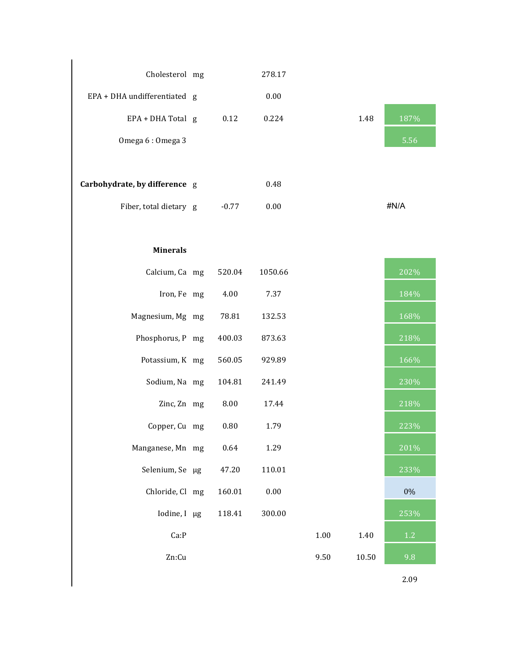| Cholesterol mg                |         | 278.17  |          |       |      |
|-------------------------------|---------|---------|----------|-------|------|
| EPA + DHA undifferentiated g  |         | 0.00    |          |       |      |
| EPA + DHA Total g             | 0.12    | 0.224   |          | 1.48  | 187% |
| Omega 6: Omega 3              |         |         |          |       | 5.56 |
|                               |         |         |          |       |      |
| Carbohydrate, by difference g |         | 0.48    |          |       |      |
| Fiber, total dietary g        | $-0.77$ | 0.00    |          |       | #N/A |
|                               |         |         |          |       |      |
| <b>Minerals</b>               |         |         |          |       |      |
| Calcium, Ca mg                | 520.04  | 1050.66 |          |       | 202% |
| Iron, Fe mg                   | 4.00    | 7.37    |          |       | 184% |
| Magnesium, Mg mg              | 78.81   | 132.53  |          |       | 168% |
| Phosphorus, P mg              | 400.03  | 873.63  |          |       | 218% |
| Potassium, K mg               | 560.05  | 929.89  |          |       | 166% |
| Sodium, Na mg                 | 104.81  | 241.49  |          |       | 230% |
| Zinc, Zn mg                   | 8.00    | 17.44   |          |       | 218% |
| Copper, Cu mg                 | 0.80    | 1.79    |          |       | 223% |
| Manganese, Mn mg              | 0.64    | 1.29    |          |       | 201% |
| Selenium, Se µg               | 47.20   | 110.01  |          |       | 233% |
| Chloride, Cl mg               | 160.01  | 0.00    |          |       | 0%   |
| Iodine, I µg                  | 118.41  | 300.00  |          |       | 253% |
| Ca:P                          |         |         | $1.00\,$ | 1.40  | 1.2  |
| Zn:Cu                         |         |         | 9.50     | 10.50 | 9.8  |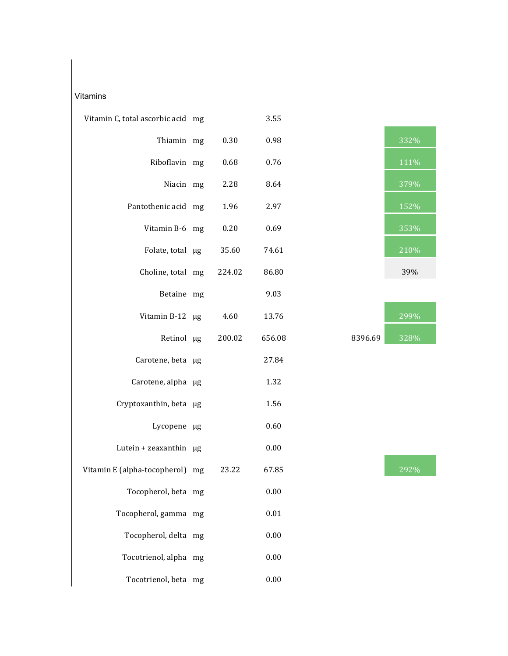## Vitamins

| Vitamin C, total ascorbic acid mg |        | 3.55     |         |      |
|-----------------------------------|--------|----------|---------|------|
| Thiamin mg                        | 0.30   | 0.98     |         | 332% |
| Riboflavin mg                     | 0.68   | 0.76     |         | 111% |
| Niacin mg                         | 2.28   | 8.64     |         | 379% |
| Pantothenic acid mg               | 1.96   | 2.97     |         | 152% |
| Vitamin B-6 mg                    | 0.20   | 0.69     |         | 353% |
| Folate, total µg                  | 35.60  | 74.61    |         | 210% |
| Choline, total mg                 | 224.02 | 86.80    |         | 39%  |
| Betaine mg                        |        | 9.03     |         |      |
| Vitamin B-12 µg                   | 4.60   | 13.76    |         | 299% |
| Retinol µg                        | 200.02 | 656.08   | 8396.69 | 328% |
| Carotene, beta µg                 |        | 27.84    |         |      |
| Carotene, alpha µg                |        | 1.32     |         |      |
| Cryptoxanthin, beta µg            |        | 1.56     |         |      |
| Lycopene µg                       |        | 0.60     |         |      |
| Lutein + zeaxanthin µg            |        | 0.00     |         |      |
| Vitamin E (alpha-tocopherol) mg   | 23.22  | 67.85    |         | 292% |
| Tocopherol, beta mg               |        | 0.00     |         |      |
| Tocopherol, gamma mg              |        | $0.01\,$ |         |      |
| Tocopherol, delta mg              |        | 0.00     |         |      |
| Tocotrienol, alpha mg             |        | 0.00     |         |      |
| Tocotrienol, beta mg              |        | 0.00     |         |      |



|         | <b>299%</b> |
|---------|-------------|
| 3396.69 | $328\%$     |